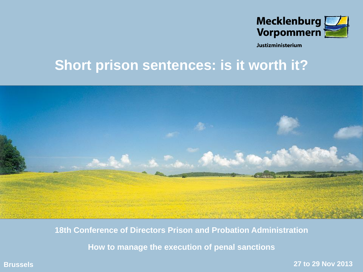

Justizministerium

# **Short prison sentences: is it worth it?**



**18th Conference of Directors Prison and Probation Administration**

**How to manage the execution of penal sanctions**

**Brussels 27 to 29 Nov 2013**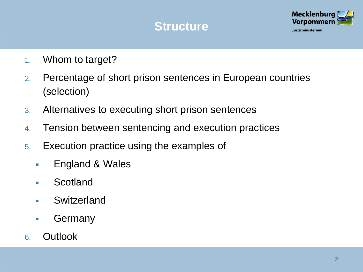## **Structure**



- 1. Whom to target?
- 2. Percentage of short prison sentences in European countries (selection)
- 3. Alternatives to executing short prison sentences
- 4. Tension between sentencing and execution practices
- 5. Execution practice using the examples of
	- **England & Wales**
	- **Scotland**
	- **Switzerland**
	- **Germany**
- 6. Outlook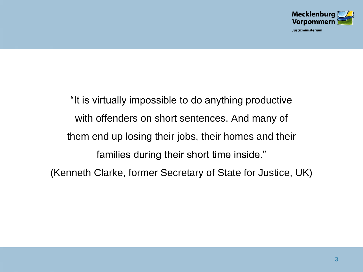

Justizministerium

"It is virtually impossible to do anything productive with offenders on short sentences. And many of them end up losing their jobs, their homes and their families during their short time inside." (Kenneth Clarke, former Secretary of State for Justice, UK)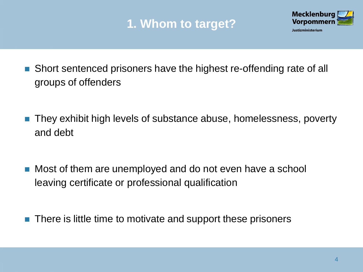# **1. Whom to target?**



- Short sentenced prisoners have the highest re-offending rate of all groups of offenders
- They exhibit high levels of substance abuse, homelessness, poverty and debt
- Most of them are unemployed and do not even have a school leaving certificate or professional qualification
- There is little time to motivate and support these prisoners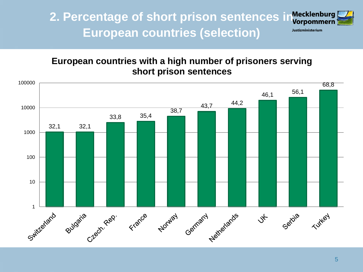**2. Percentage of short prison sentences in European countries (selection)** Justizministerium



#### **European countries with a high number of prisoners serving short prison sentences**

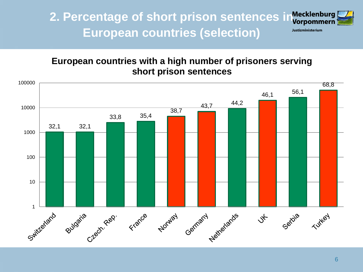**2. Percentage of short prison sentences in European countries (selection)**



Justizministerium

#### **European countries with a high number of prisoners serving short prison sentences**

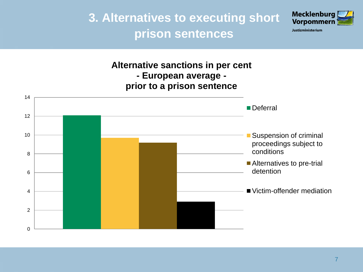**3. Alternatives to executing short prison sentences**



Justizministerium

**Alternative sanctions in per cent - European average prior to a prison sentence**

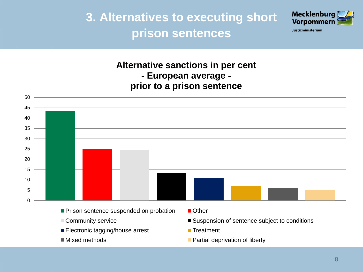**3. Alternatives to executing short prison sentences**



Justizministerium

**Alternative sanctions in per cent - European average -**

**prior to a prison sentence**



- 
- Electronic tagging/house arrest **Treatment**
- 
- Community service Suspension of sentence subject to conditions
	-
- Mixed methods **Partial deprivation of liberty**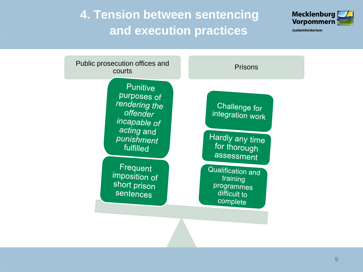**4. Tension between sentencing and execution practices**



Justizministerium

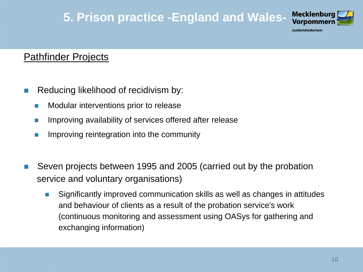## **5. Prison practice -England and Wales-**



Justizministerium

### **Pathfinder Projects**

- Reducing likelihood of recidivism by:
	- **Nodular interventions prior to release**
	- **If all improving availability of services offered after release**
	- **IMPROPICE 19 Improving reintegration into the community**
- Seven projects between 1995 and 2005 (carried out by the probation service and voluntary organisations)
	- Significantly improved communication skills as well as changes in attitudes and behaviour of clients as a result of the probation service's work (continuous monitoring and assessment using OASys for gathering and exchanging information)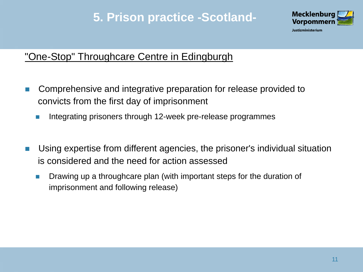## **5. Prison practice -Scotland-**



### "One-Stop" Throughcare Centre in Edingburgh

- Comprehensive and integrative preparation for release provided to convicts from the first day of imprisonment
	- Integrating prisoners through 12-week pre-release programmes
- Using expertise from different agencies, the prisoner's individual situation is considered and the need for action assessed
	- **Drawing up a throughcare plan (with important steps for the duration of** imprisonment and following release)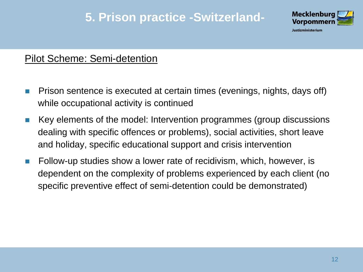## **5. Prison practice -Switzerland-**



#### Pilot Scheme: Semi-detention

- **Prison sentence is executed at certain times (evenings, nights, days off)** while occupational activity is continued
- $\blacksquare$  Key elements of the model: Intervention programmes (group discussions dealing with specific offences or problems), social activities, short leave and holiday, specific educational support and crisis intervention
- **Follow-up studies show a lower rate of recidivism, which, however, is** dependent on the complexity of problems experienced by each client (no specific preventive effect of semi-detention could be demonstrated)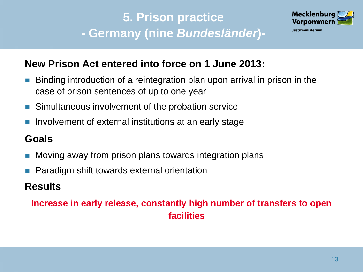# **5. Prison practice - Germany (nine** *Bundesländer***)-**



### **New Prison Act entered into force on 1 June 2013:**

- Binding introduction of a reintegration plan upon arrival in prison in the case of prison sentences of up to one year
- **Simultaneous involvement of the probation service**
- Involvement of external institutions at an early stage

### **Goals**

- Moving away from prison plans towards integration plans
- Paradigm shift towards external orientation

### **Results**

### **Increase in early release, constantly high number of transfers to open facilities**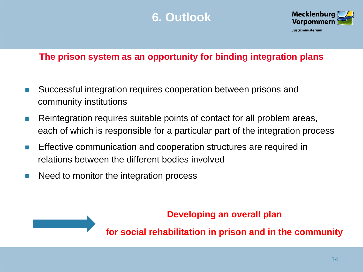## **6. Outlook**



#### **The prison system as an opportunity for binding integration plans**

- Successful integration requires cooperation between prisons and community institutions
- **Reintegration requires suitable points of contact for all problem areas,** each of which is responsible for a particular part of the integration process
- **Effective communication and cooperation structures are required in** relations between the different bodies involved
- Need to monitor the integration process

#### **Developing an overall plan**

**for social rehabilitation in prison and in the community**